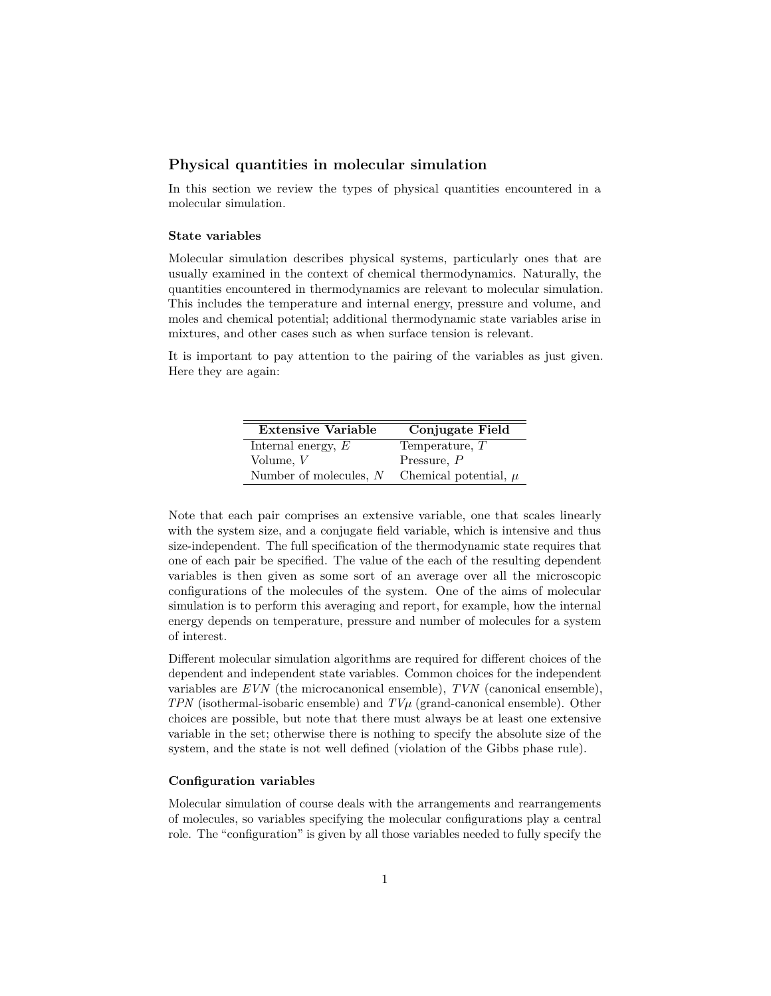# **Physical quantities in molecular simulation**

In this section we review the types of physical quantities encountered in a molecular simulation.

# **State variables**

Molecular simulation describes physical systems, particularly ones that are usually examined in the context of chemical thermodynamics. Naturally, the quantities encountered in thermodynamics are relevant to molecular simulation. This includes the temperature and internal energy, pressure and volume, and moles and chemical potential; additional thermodynamic state variables arise in mixtures, and other cases such as when surface tension is relevant.

It is important to pay attention to the pairing of the variables as just given. Here they are again:

| <b>Extensive Variable</b> | Conjugate Field           |
|---------------------------|---------------------------|
| Internal energy, $E$      | Temperature, $T$          |
| Volume, $V$               | Pressure, $P$             |
| Number of molecules, $N$  | Chemical potential, $\mu$ |

Note that each pair comprises an extensive variable, one that scales linearly with the system size, and a conjugate field variable, which is intensive and thus size-independent. The full specification of the thermodynamic state requires that one of each pair be specified. The value of the each of the resulting dependent variables is then given as some sort of an average over all the microscopic configurations of the molecules of the system. One of the aims of molecular simulation is to perform this averaging and report, for example, how the internal energy depends on temperature, pressure and number of molecules for a system of interest.

Different molecular simulation algorithms are required for different choices of the dependent and independent state variables. Common choices for the independent variables are *EVN* (the microcanonical ensemble), *TVN* (canonical ensemble), *TPN* (isothermal-isobaric ensemble) and *TVµ* (grand-canonical ensemble). Other choices are possible, but note that there must always be at least one extensive variable in the set; otherwise there is nothing to specify the absolute size of the system, and the state is not well defined (violation of the Gibbs phase rule).

## **Configuration variables**

Molecular simulation of course deals with the arrangements and rearrangements of molecules, so variables specifying the molecular configurations play a central role. The "configuration" is given by all those variables needed to fully specify the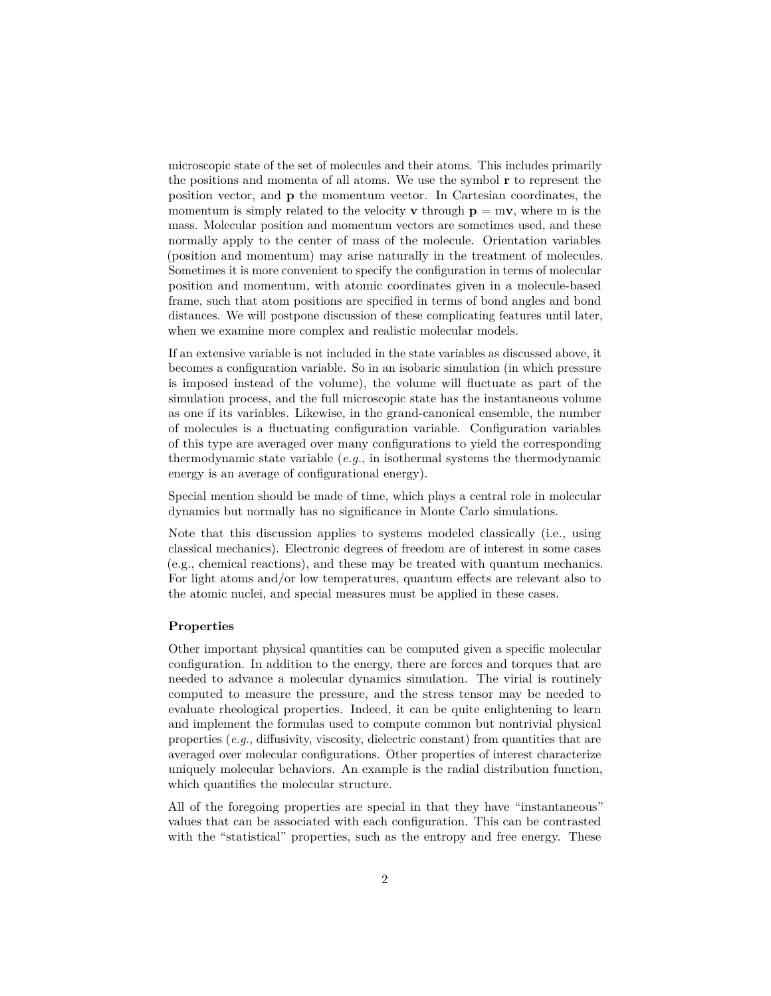microscopic state of the set of molecules and their atoms. This includes primarily the positions and momenta of all atoms. We use the symbol **r** to represent the position vector, and **p** the momentum vector. In Cartesian coordinates, the momentum is simply related to the velocity **v** through  $p = mv$ , where m is the mass. Molecular position and momentum vectors are sometimes used, and these normally apply to the center of mass of the molecule. Orientation variables (position and momentum) may arise naturally in the treatment of molecules. Sometimes it is more convenient to specify the configuration in terms of molecular position and momentum, with atomic coordinates given in a molecule-based frame, such that atom positions are specified in terms of bond angles and bond distances. We will postpone discussion of these complicating features until later, when we examine more complex and realistic molecular models.

If an extensive variable is not included in the state variables as discussed above, it becomes a configuration variable. So in an isobaric simulation (in which pressure is imposed instead of the volume), the volume will fluctuate as part of the simulation process, and the full microscopic state has the instantaneous volume as one if its variables. Likewise, in the grand-canonical ensemble, the number of molecules is a fluctuating configuration variable. Configuration variables of this type are averaged over many configurations to yield the corresponding thermodynamic state variable (*e.g.*, in isothermal systems the thermodynamic energy is an average of configurational energy).

Special mention should be made of time, which plays a central role in molecular dynamics but normally has no significance in Monte Carlo simulations.

Note that this discussion applies to systems modeled classically (i.e., using classical mechanics). Electronic degrees of freedom are of interest in some cases (e.g., chemical reactions), and these may be treated with quantum mechanics. For light atoms and/or low temperatures, quantum effects are relevant also to the atomic nuclei, and special measures must be applied in these cases.

#### **Properties**

Other important physical quantities can be computed given a specific molecular configuration. In addition to the energy, there are forces and torques that are needed to advance a molecular dynamics simulation. The virial is routinely computed to measure the pressure, and the stress tensor may be needed to evaluate rheological properties. Indeed, it can be quite enlightening to learn and implement the formulas used to compute common but nontrivial physical properties (*e.g.*, diffusivity, viscosity, dielectric constant) from quantities that are averaged over molecular configurations. Other properties of interest characterize uniquely molecular behaviors. An example is the radial distribution function, which quantifies the molecular structure.

All of the foregoing properties are special in that they have "instantaneous" values that can be associated with each configuration. This can be contrasted with the "statistical" properties, such as the entropy and free energy. These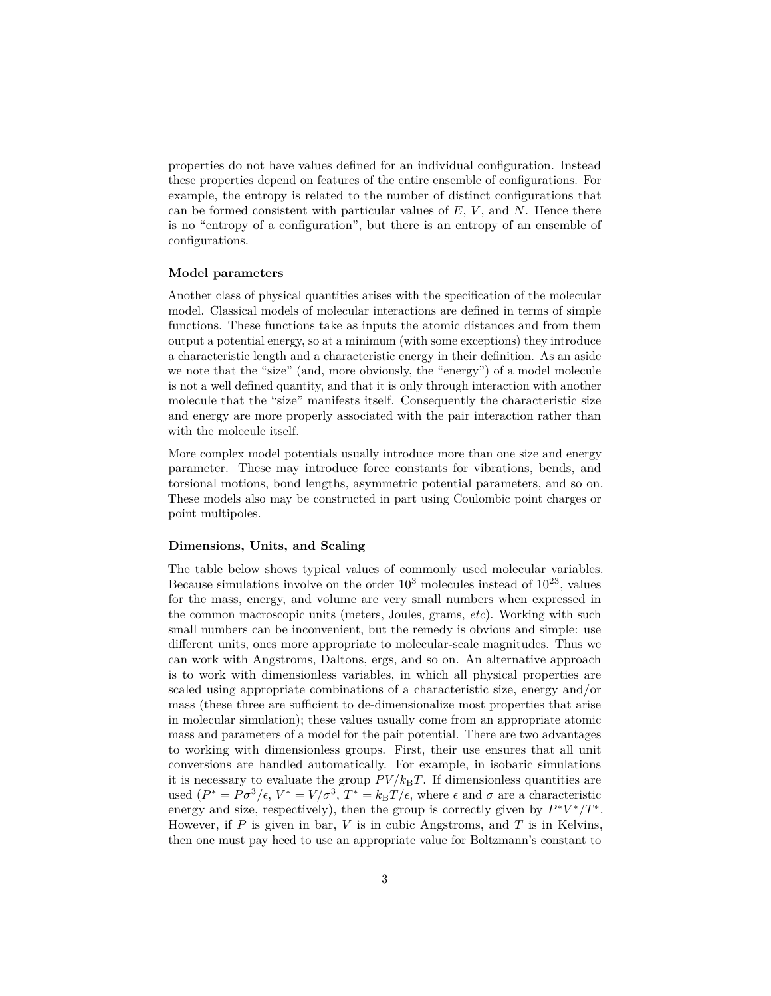properties do not have values defined for an individual configuration. Instead these properties depend on features of the entire ensemble of configurations. For example, the entropy is related to the number of distinct configurations that can be formed consistent with particular values of *E*, *V* , and *N*. Hence there is no "entropy of a configuration", but there is an entropy of an ensemble of configurations.

## **Model parameters**

Another class of physical quantities arises with the specification of the molecular model. Classical models of molecular interactions are defined in terms of simple functions. These functions take as inputs the atomic distances and from them output a potential energy, so at a minimum (with some exceptions) they introduce a characteristic length and a characteristic energy in their definition. As an aside we note that the "size" (and, more obviously, the "energy") of a model molecule is not a well defined quantity, and that it is only through interaction with another molecule that the "size" manifests itself. Consequently the characteristic size and energy are more properly associated with the pair interaction rather than with the molecule itself.

More complex model potentials usually introduce more than one size and energy parameter. These may introduce force constants for vibrations, bends, and torsional motions, bond lengths, asymmetric potential parameters, and so on. These models also may be constructed in part using Coulombic point charges or point multipoles.

## **Dimensions, Units, and Scaling**

The table below shows typical values of commonly used molecular variables. Because simulations involve on the order  $10^3$  molecules instead of  $10^{23}$ , values for the mass, energy, and volume are very small numbers when expressed in the common macroscopic units (meters, Joules, grams, *etc*). Working with such small numbers can be inconvenient, but the remedy is obvious and simple: use different units, ones more appropriate to molecular-scale magnitudes. Thus we can work with Angstroms, Daltons, ergs, and so on. An alternative approach is to work with dimensionless variables, in which all physical properties are scaled using appropriate combinations of a characteristic size, energy and/or mass (these three are sufficient to de-dimensionalize most properties that arise in molecular simulation); these values usually come from an appropriate atomic mass and parameters of a model for the pair potential. There are two advantages to working with dimensionless groups. First, their use ensures that all unit conversions are handled automatically. For example, in isobaric simulations it is necessary to evaluate the group  $PV/k_BT$ . If dimensionless quantities are used  $(P^* = P\sigma^3/\epsilon, V^* = V/\sigma^3, T^* = k_B T/\epsilon$ , where  $\epsilon$  and  $\sigma$  are a characteristic energy and size, respectively), then the group is correctly given by  $P^*V^*/T^*$ . However, if *P* is given in bar, *V* is in cubic Angstroms, and *T* is in Kelvins, then one must pay heed to use an appropriate value for Boltzmann's constant to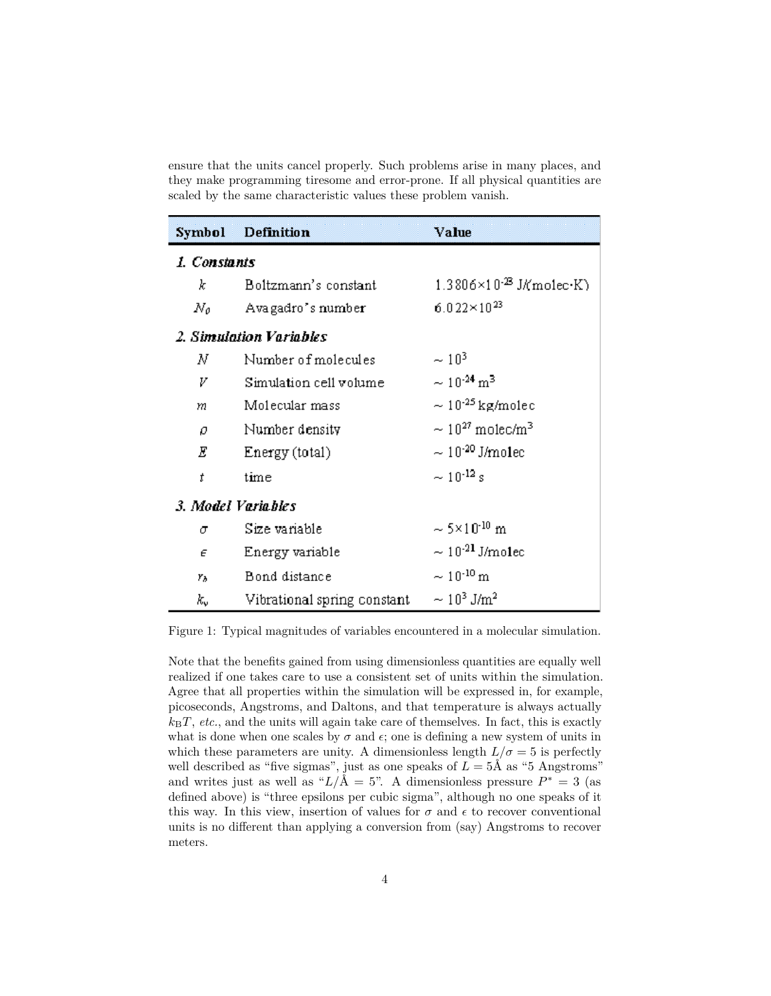ensure that the units cancel properly. Such problems arise in many places, and they make programming tiresome and error-prone. If all physical quantities are scaled by the same characteristic values these problem vanish.

| Symbol                  | Definition                  | Value                                     |
|-------------------------|-----------------------------|-------------------------------------------|
| 1. Constants            |                             |                                           |
| k                       | Boltzmann's constant        | $1.3806\times10^{23}$ J/(molec $\cdot$ K) |
| Nο                      | Avagadro's number           | $6.022\times10^{23}$                      |
| 2. Simulation Variables |                             |                                           |
| Ν                       | Number of molecules         | $\sim 10^{3}$                             |
| V                       | Simulation cell volume      | $\sim 10^{-24}$ m <sup>3</sup>            |
| m                       | Molecular mass              | $\sim 10^{45}$ kg/molec                   |
| o                       | Number density              | $\sim 10^{27}$ molec/m <sup>3</sup>       |
| Ε                       | Energy (total)              | $\sim 10^{40}$ J/mo1ec                    |
| t                       | time                        | $\sim 10^{-12}$ s                         |
| 3. Model Variables      |                             |                                           |
| σ                       | Size variable               | $\sim$ 5×10 <sup>-10</sup> m              |
| E                       | Energy variable             | $\sim 10^{42}$ J/molec                    |
| Yд                      | Bond distance               | $\sim 10^{-10}$ m                         |
| k,                      | Vibrational spring constant | $\sim 10^3$ J/m <sup>2</sup>              |

Figure 1: Typical magnitudes of variables encountered in a molecular simulation.

Note that the benefits gained from using dimensionless quantities are equally well realized if one takes care to use a consistent set of units within the simulation. Agree that all properties within the simulation will be expressed in, for example, picoseconds, Angstroms, and Daltons, and that temperature is always actually  $k_B T$ , *etc.*, and the units will again take care of themselves. In fact, this is exactly what is done when one scales by  $\sigma$  and  $\epsilon$ ; one is defining a new system of units in which these parameters are unity. A dimensionless length  $L/\sigma = 5$  is perfectly well described as "five sigmas", just as one speaks of  $L = 5$ Å as "5 Angstroms" and writes just as well as " $L/\text{\AA} = 5$ ". A dimensionless pressure  $P^* = 3$  (as defined above) is "three epsilons per cubic sigma", although no one speaks of it this way. In this view, insertion of values for  $\sigma$  and  $\epsilon$  to recover conventional units is no different than applying a conversion from (say) Angstroms to recover meters.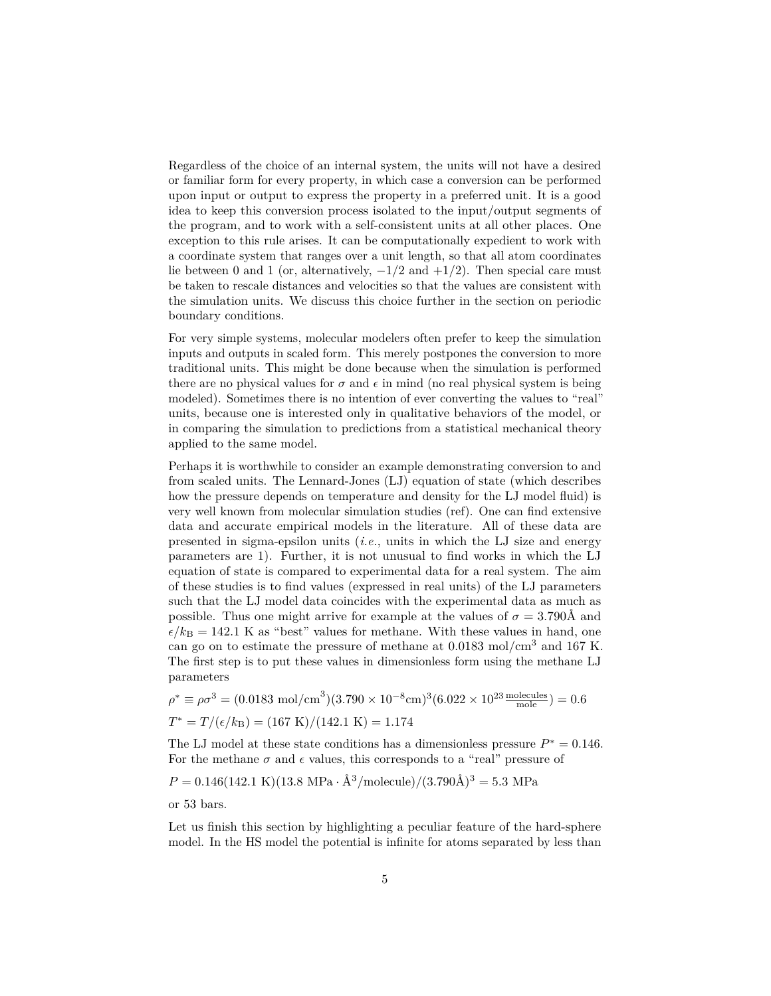Regardless of the choice of an internal system, the units will not have a desired or familiar form for every property, in which case a conversion can be performed upon input or output to express the property in a preferred unit. It is a good idea to keep this conversion process isolated to the input/output segments of the program, and to work with a self-consistent units at all other places. One exception to this rule arises. It can be computationally expedient to work with a coordinate system that ranges over a unit length, so that all atom coordinates lie between 0 and 1 (or, alternatively,  $-1/2$  and  $+1/2$ ). Then special care must be taken to rescale distances and velocities so that the values are consistent with the simulation units. We discuss this choice further in the section on periodic boundary conditions.

For very simple systems, molecular modelers often prefer to keep the simulation inputs and outputs in scaled form. This merely postpones the conversion to more traditional units. This might be done because when the simulation is performed there are no physical values for  $\sigma$  and  $\epsilon$  in mind (no real physical system is being modeled). Sometimes there is no intention of ever converting the values to "real" units, because one is interested only in qualitative behaviors of the model, or in comparing the simulation to predictions from a statistical mechanical theory applied to the same model.

Perhaps it is worthwhile to consider an example demonstrating conversion to and from scaled units. The Lennard-Jones (LJ) equation of state (which describes how the pressure depends on temperature and density for the LJ model fluid) is very well known from molecular simulation studies (ref). One can find extensive data and accurate empirical models in the literature. All of these data are presented in sigma-epsilon units (*i.e.*, units in which the LJ size and energy parameters are 1). Further, it is not unusual to find works in which the LJ equation of state is compared to experimental data for a real system. The aim of these studies is to find values (expressed in real units) of the LJ parameters such that the LJ model data coincides with the experimental data as much as possible. Thus one might arrive for example at the values of  $\sigma = 3.790$ Å and  $\epsilon/k_B = 142.1$  K as "best" values for methane. With these values in hand, one can go on to estimate the pressure of methane at  $0.0183 \text{ mol/cm}^3$  and 167 K. The first step is to put these values in dimensionless form using the methane LJ parameters

$$
\rho^* \equiv \rho \sigma^3 = (0.0183 \text{ mol/cm}^3)(3.790 \times 10^{-8} \text{cm})^3(6.022 \times 10^{23} \frac{\text{molecules}}{\text{mole}}) = 0.6
$$
  

$$
T^* = T/(\epsilon/k_B) = (167 \text{ K})/(142.1 \text{ K}) = 1.174
$$

The LJ model at these state conditions has a dimensionless pressure  $P^* = 0.146$ . For the methane  $\sigma$  and  $\epsilon$  values, this corresponds to a "real" pressure of

$$
P = 0.146(142.1 \text{ K})(13.8 \text{ MPa} \cdot \text{Å}^3/\text{molecule})/(3.790\text{Å})^3 = 5.3 \text{ MPa}
$$

or 53 bars.

Let us finish this section by highlighting a peculiar feature of the hard-sphere model. In the HS model the potential is infinite for atoms separated by less than